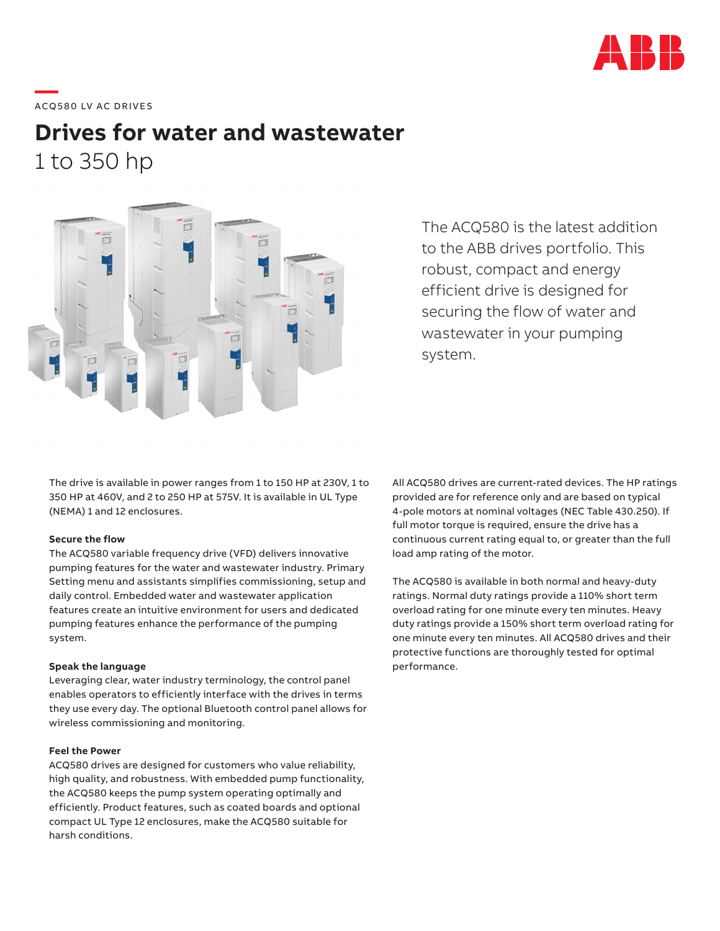

# **—**  ACQ580 LV AC DRIVES

## **Drives for water and wastewater** 1 to 350 hp



The ACQ580 is the latest addition to the ABB drives portfolio. This robust, compact and energy efficient drive is designed for securing the flow of water and wastewater in your pumping system.

The drive is available in power ranges from 1 to 150 HP at 230V, 1 to 350 HP at 460V, and 2 to 250 HP at 575V. It is available in UL Type (NEMA) 1 and 12 enclosures.

#### **Secure the flow**

The ACQ580 variable frequency drive (VFD) delivers innovative pumping features for the water and wastewater industry. Primary Setting menu and assistants simplifies commissioning, setup and daily control. Embedded water and wastewater application features create an intuitive environment for users and dedicated pumping features enhance the performance of the pumping system.

#### **Speak the language**

Leveraging clear, water industry terminology, the control panel enables operators to efficiently interface with the drives in terms they use every day. The optional Bluetooth control panel allows for wireless commissioning and monitoring.

#### **Feel the Power**

ACQ580 drives are designed for customers who value reliability, high quality, and robustness. With embedded pump functionality, the ACQ580 keeps the pump system operating optimally and efficiently. Product features, such as coated boards and optional compact UL Type 12 enclosures, make the ACQ580 suitable for harsh conditions.

All ACQ580 drives are current-rated devices. The HP ratings provided are for reference only and are based on typical 4-pole motors at nominal voltages (NEC Table 430.250). If full motor torque is required, ensure the drive has a continuous current rating equal to, or greater than the full load amp rating of the motor.

The ACQ580 is available in both normal and heavy-duty ratings. Normal duty ratings provide a 110% short term overload rating for one minute every ten minutes. Heavy duty ratings provide a 150% short term overload rating for one minute every ten minutes. All ACQ580 drives and their protective functions are thoroughly tested for optimal performance.